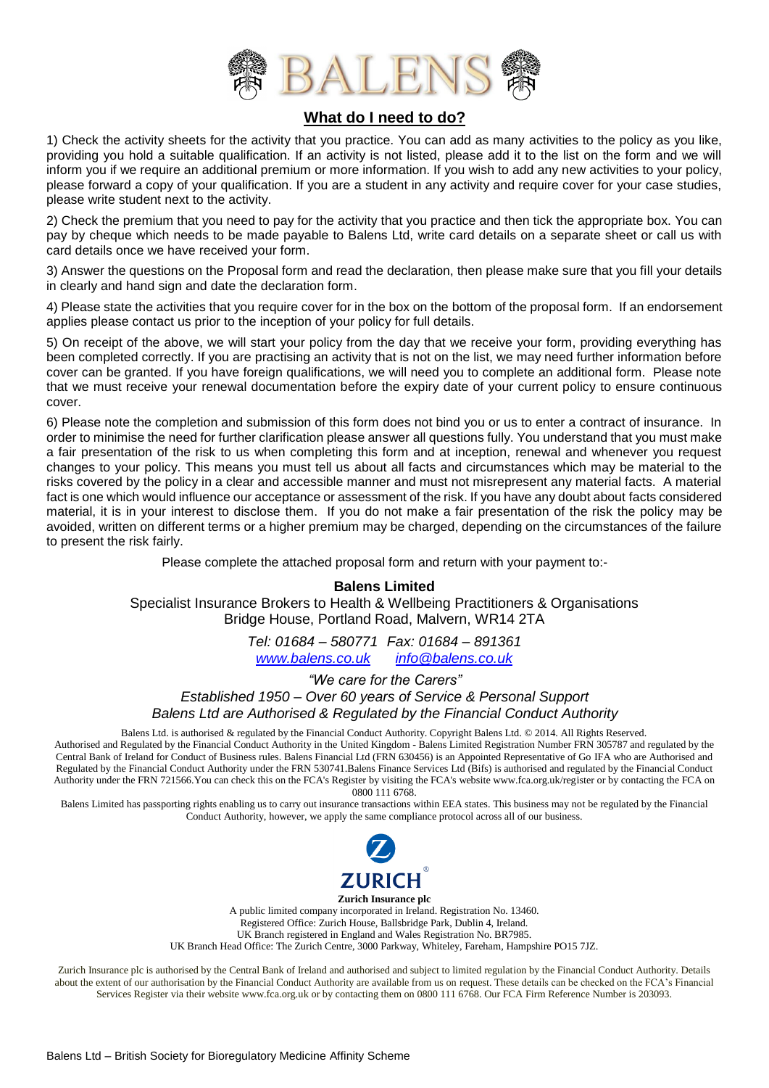

### **What do I need to do?**

1) Check the activity sheets for the activity that you practice. You can add as many activities to the policy as you like, providing you hold a suitable qualification. If an activity is not listed, please add it to the list on the form and we will inform you if we require an additional premium or more information. If you wish to add any new activities to your policy, please forward a copy of your qualification. If you are a student in any activity and require cover for your case studies, please write student next to the activity.

2) Check the premium that you need to pay for the activity that you practice and then tick the appropriate box. You can pay by cheque which needs to be made payable to Balens Ltd, write card details on a separate sheet or call us with card details once we have received your form.

3) Answer the questions on the Proposal form and read the declaration, then please make sure that you fill your details in clearly and hand sign and date the declaration form.

4) Please state the activities that you require cover for in the box on the bottom of the proposal form. If an endorsement applies please contact us prior to the inception of your policy for full details.

5) On receipt of the above, we will start your policy from the day that we receive your form, providing everything has been completed correctly. If you are practising an activity that is not on the list, we may need further information before cover can be granted. If you have foreign qualifications, we will need you to complete an additional form. Please note that we must receive your renewal documentation before the expiry date of your current policy to ensure continuous cover.

6) Please note the completion and submission of this form does not bind you or us to enter a contract of insurance. In order to minimise the need for further clarification please answer all questions fully. You understand that you must make a fair presentation of the risk to us when completing this form and at inception, renewal and whenever you request changes to your policy. This means you must tell us about all facts and circumstances which may be material to the risks covered by the policy in a clear and accessible manner and must not misrepresent any material facts. A material fact is one which would influence our acceptance or assessment of the risk. If you have any doubt about facts considered material, it is in your interest to disclose them. If you do not make a fair presentation of the risk the policy may be avoided, written on different terms or a higher premium may be charged, depending on the circumstances of the failure to present the risk fairly.

Please complete the attached proposal form and return with your payment to:-

#### **Balens Limited**

Specialist Insurance Brokers to Health & Wellbeing Practitioners & Organisations Bridge House, Portland Road, Malvern, WR14 2TA

> *Tel: 01684 – 580771 Fax: 01684 – 891361 [www.balens.co.uk](http://www.balens.co.uk/) [info@balens.co.uk](mailto:info@balens.co.uk)*

> > *"We care for the Carers"*

*Established 1950 – Over 60 years of Service & Personal Support Balens Ltd are Authorised & Regulated by the Financial Conduct Authority* 

Balens Ltd. is authorised & regulated by the Financial Conduct Authority. Copyright Balens Ltd. © 2014. All Rights Reserved. Authorised and Regulated by the Financial Conduct Authority in the United Kingdom - Balens Limited Registration Number FRN 305787 and regulated by the Central Bank of Ireland for Conduct of Business rules. Balens Financial Ltd (FRN 630456) is an Appointed Representative of Go IFA who are Authorised and Regulated by the Financial Conduct Authority under the FRN 530741.Balens Finance Services Ltd (Bifs) is authorised and regulated by the Financial Conduct Authority under the FRN 721566.You can check this on the FCA's Register by visiting the FCA's website www.fca.org.uk/register or by contacting the FCA on 0800 111 6768.

Balens Limited has passporting rights enabling us to carry out insurance transactions within EEA states. This business may not be regulated by the Financial Conduct Authority, however, we apply the same compliance protocol across all of our business.



**Zurich Insurance plc** A public limited company incorporated in Ireland. Registration No. 13460. Registered Office: Zurich House, Ballsbridge Park, Dublin 4, Ireland. UK Branch registered in England and Wales Registration No. BR7985. UK Branch Head Office: The Zurich Centre, 3000 Parkway, Whiteley, Fareham, Hampshire PO15 7JZ.

Zurich Insurance plc is authorised by the Central Bank of Ireland and authorised and subject to limited regulation by the Financial Conduct Authority. Details about the extent of our authorisation by the Financial Conduct Authority are available from us on request. These details can be checked on the FCA's Financial Services Register via their website www.fca.org.uk or by contacting them on 0800 111 6768. Our FCA Firm Reference Number is 203093.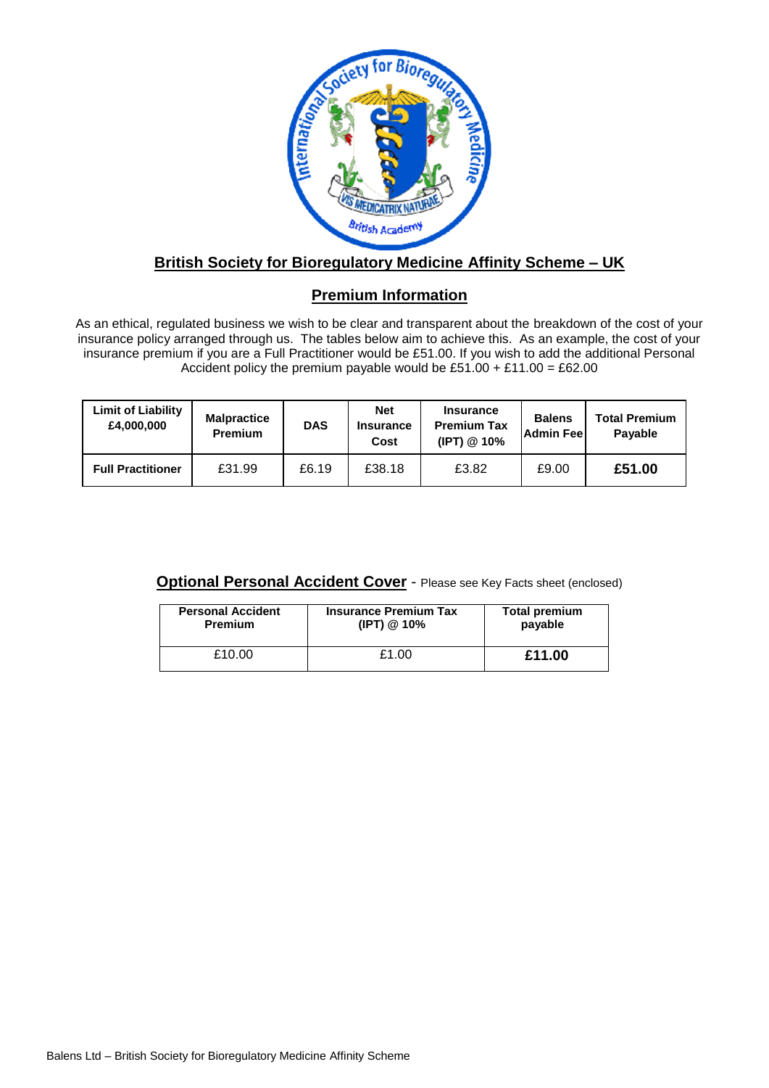

## **British Society for Bioregulatory Medicine Affinity Scheme – UK**

### **Premium Information**

As an ethical, regulated business we wish to be clear and transparent about the breakdown of the cost of your insurance policy arranged through us. The tables below aim to achieve this. As an example, the cost of your insurance premium if you are a Full Practitioner would be £51.00. If you wish to add the additional Personal Accident policy the premium payable would be £51.00 + £11.00 = £62.00

| <b>Limit of Liability</b><br>£4,000,000 | <b>Malpractice</b><br><b>Premium</b> | <b>DAS</b> | <b>Net</b><br><b>Insurance</b><br>Cost | <b>Insurance</b><br><b>Premium Tax</b><br>(IPT) @ 10% | <b>Balens</b><br>Admin Feel | <b>Total Premium</b><br>Payable |
|-----------------------------------------|--------------------------------------|------------|----------------------------------------|-------------------------------------------------------|-----------------------------|---------------------------------|
| <b>Full Practitioner</b>                | £31.99                               | £6.19      | £38.18                                 | £3.82                                                 | £9.00                       | £51.00                          |

**Optional Personal Accident Cover** - Please see Key Facts sheet (enclosed)

| <b>Personal Accident</b> | <b>Insurance Premium Tax</b> | <b>Total premium</b> |
|--------------------------|------------------------------|----------------------|
| <b>Premium</b>           | (IPT) @ 10%                  | payable              |
| £10.00                   | £1.00                        | £11.00               |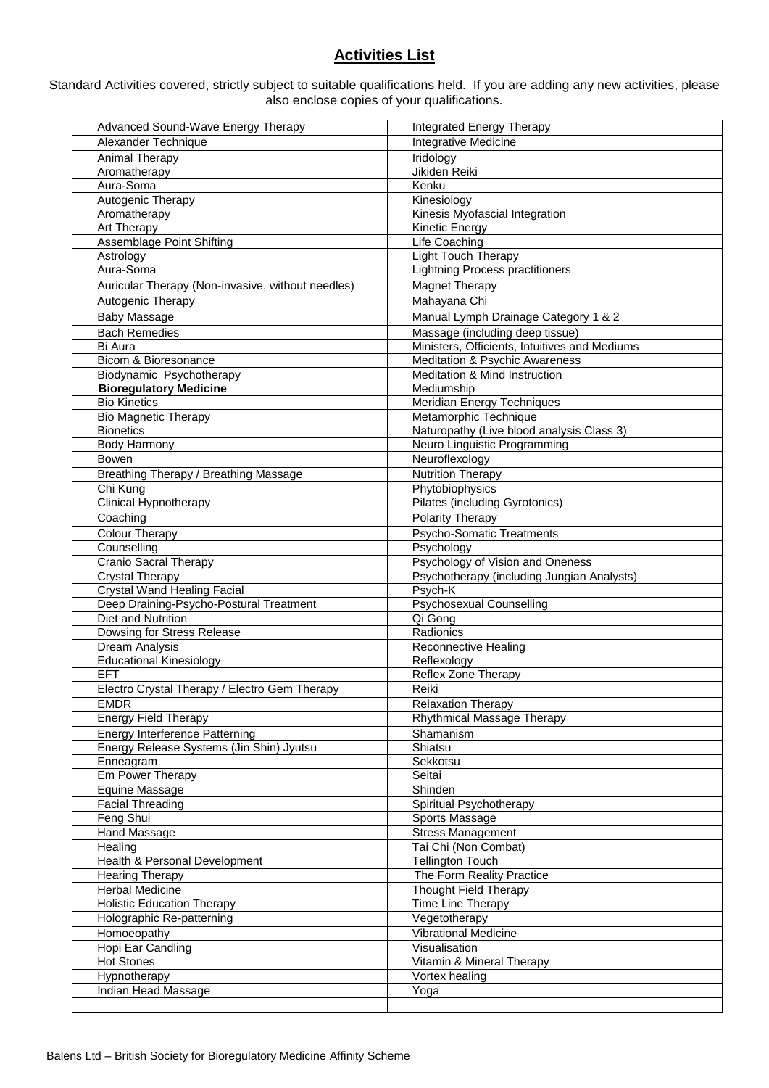# **Activities List**

Standard Activities covered, strictly subject to suitable qualifications held. If you are adding any new activities, please also enclose copies of your qualifications.

| Advanced Sound-Wave Energy Therapy                | Integrated Energy Therapy                     |
|---------------------------------------------------|-----------------------------------------------|
| Alexander Technique                               | <b>Integrative Medicine</b>                   |
| Animal Therapy                                    | Iridology                                     |
| Aromatherapy                                      | Jikiden Reiki                                 |
| Aura-Soma                                         | Kenku                                         |
| Autogenic Therapy                                 | Kinesiology                                   |
| Aromatherapy                                      | Kinesis Myofascial Integration                |
| Art Therapy                                       | Kinetic Energy                                |
| <b>Assemblage Point Shifting</b>                  | Life Coaching                                 |
| Astrology                                         | Light Touch Therapy                           |
| Aura-Soma                                         | <b>Lightning Process practitioners</b>        |
| Auricular Therapy (Non-invasive, without needles) | <b>Magnet Therapy</b>                         |
| Autogenic Therapy                                 | Mahayana Chi                                  |
|                                                   |                                               |
| <b>Baby Massage</b>                               | Manual Lymph Drainage Category 1 & 2          |
| <b>Bach Remedies</b>                              | Massage (including deep tissue)               |
| Bi Aura                                           | Ministers, Officients, Intuitives and Mediums |
| Bicom & Bioresonance                              | Meditation & Psychic Awareness                |
| Biodynamic Psychotherapy                          | Meditation & Mind Instruction                 |
| <b>Bioregulatory Medicine</b>                     | Mediumship                                    |
| <b>Bio Kinetics</b>                               | Meridian Energy Techniques                    |
| <b>Bio Magnetic Therapy</b>                       | Metamorphic Technique                         |
| <b>Bionetics</b>                                  | Naturopathy (Live blood analysis Class 3)     |
| <b>Body Harmony</b>                               | Neuro Linguistic Programming                  |
| <b>Bowen</b>                                      | Neuroflexology                                |
| Breathing Therapy / Breathing Massage             | <b>Nutrition Therapy</b>                      |
| Chi Kung                                          | Phytobiophysics                               |
| Clinical Hypnotherapy                             | Pilates (including Gyrotonics)                |
| Coaching                                          | Polarity Therapy                              |
| <b>Colour Therapy</b>                             | Psycho-Somatic Treatments                     |
| Counselling                                       | Psychology                                    |
| <b>Cranio Sacral Therapy</b>                      | Psychology of Vision and Oneness              |
| <b>Crystal Therapy</b>                            | Psychotherapy (including Jungian Analysts)    |
| <b>Crystal Wand Healing Facial</b>                | Psych-K                                       |
| Deep Draining-Psycho-Postural Treatment           | <b>Psychosexual Counselling</b>               |
| Diet and Nutrition                                | Qi Gong                                       |
| Dowsing for Stress Release                        | Radionics                                     |
| Dream Analysis                                    | Reconnective Healing                          |
| <b>Educational Kinesiology</b>                    | Reflexology                                   |
| <b>EFT</b>                                        | Reflex Zone Therapy                           |
| Electro Crystal Therapy / Electro Gem Therapy     | Reiki                                         |
| <b>EMDR</b>                                       | <b>Relaxation Therapy</b>                     |
| Energy Field Therapy                              | Rhythmical Massage Therapy                    |
| <b>Energy Interference Patterning</b>             | Shamanism                                     |
| Energy Release Systems (Jin Shin) Jyutsu          | Shiatsu                                       |
| Enneagram                                         | Sekkotsu                                      |
| Em Power Therapy                                  | Seitai                                        |
| Equine Massage                                    | Shinden                                       |
| <b>Facial Threading</b>                           | Spiritual Psychotherapy                       |
| Feng Shui                                         | Sports Massage                                |
| Hand Massage                                      | <b>Stress Management</b>                      |
| Healing                                           | Tai Chi (Non Combat)                          |
| Health & Personal Development                     | <b>Tellington Touch</b>                       |
| <b>Hearing Therapy</b>                            | The Form Reality Practice                     |
| <b>Herbal Medicine</b>                            | <b>Thought Field Therapy</b>                  |
| <b>Holistic Education Therapy</b>                 | Time Line Therapy                             |
| Holographic Re-patterning                         | Vegetotherapy                                 |
| Homoeopathy                                       | Vibrational Medicine                          |
| Hopi Ear Candling                                 | Visualisation                                 |
| <b>Hot Stones</b>                                 | Vitamin & Mineral Therapy                     |
| Hypnotherapy                                      | Vortex healing                                |
| Indian Head Massage                               |                                               |
|                                                   | Yoga                                          |
|                                                   |                                               |